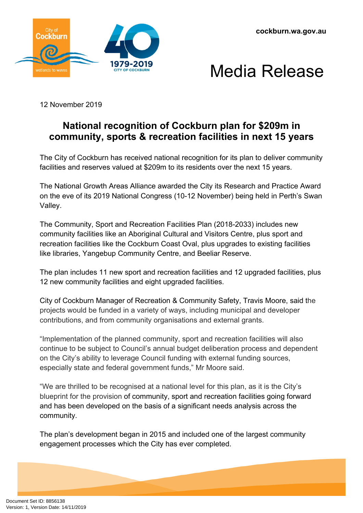**cockburn.wa.gov.au**





12 November 2019

# **National recognition of Cockburn plan for \$209m in community, sports & recreation facilities in next 15 years**

The City of Cockburn has received national recognition for its plan to deliver community facilities and reserves valued at \$209m to its residents over the next 15 years.

The National Growth Areas Alliance awarded the City its Research and Practice Award on the eve of its 2019 National Congress (10-12 November) being held in Perth's Swan Valley.

The Community, Sport and Recreation Facilities Plan (2018-2033) includes new community facilities like an Aboriginal Cultural and Visitors Centre, plus sport and recreation facilities like the Cockburn Coast Oval, plus upgrades to existing facilities like libraries, Yangebup Community Centre, and Beeliar Reserve.

The plan includes 11 new sport and recreation facilities and 12 upgraded facilities, plus 12 new community facilities and eight upgraded facilities.

City of Cockburn Manager of Recreation & Community Safety, Travis Moore, said the projects would be funded in a variety of ways, including municipal and developer contributions, and from community organisations and external grants.

"Implementation of the planned community, sport and recreation facilities will also continue to be subject to Council's annual budget deliberation process and dependent on the City's ability to leverage Council funding with external funding sources, especially state and federal government funds," Mr Moore said.

"We are thrilled to be recognised at a national level for this plan, as it is the City's blueprint for the provision of community, sport and recreation facilities going forward and has been developed on the basis of a significant needs analysis across the community.

The plan's development began in 2015 and included one of the largest community engagement processes which the City has ever completed.

Document Set ID: 8856138<br>Version: 1, Version Date: 14/11/2019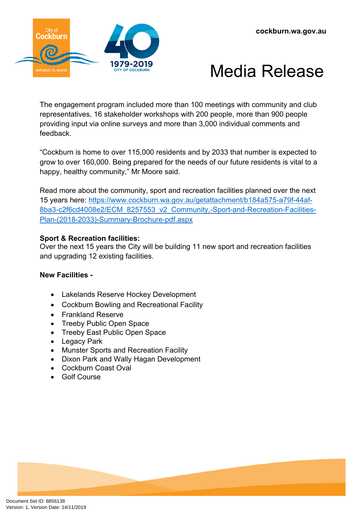



The engagement program included more than 100 meetings with community and club representatives, 16 stakeholder workshops with 200 people, more than 900 people providing input via online surveys and more than 3,000 individual comments and feedback.

"Cockburn is home to over 115,000 residents and by 2033 that number is expected to grow to over 160,000. Being prepared for the needs of our future residents is vital to a happy, healthy community," Mr Moore said.

Read more about the community, sport and recreation facilities planned over the next 15 years here: [https://www.cockburn.wa.gov.au/getattachment/b184a575-a79f-44af-](https://www.cockburn.wa.gov.au/getattachment/b184a575-a79f-44af-8ba3-c2f6cd4008e2/ECM_8257553_v2_Community,-Sport-and-Recreation-Facilities-Plan-(2018-2033)-Summary-Brochure-pdf.aspx)[8ba3-c2f6cd4008e2/ECM\\_8257553\\_v2\\_Community,-Sport-and-Recreation-Facilities-](https://www.cockburn.wa.gov.au/getattachment/b184a575-a79f-44af-8ba3-c2f6cd4008e2/ECM_8257553_v2_Community,-Sport-and-Recreation-Facilities-Plan-(2018-2033)-Summary-Brochure-pdf.aspx)[Plan-\(2018-2033\)-Summary-Brochure-pdf.aspx](https://www.cockburn.wa.gov.au/getattachment/b184a575-a79f-44af-8ba3-c2f6cd4008e2/ECM_8257553_v2_Community,-Sport-and-Recreation-Facilities-Plan-(2018-2033)-Summary-Brochure-pdf.aspx)

# **Sport & Recreation facilities:**

Over the next 15 years the City will be building 11 new sport and recreation facilities and upgrading 12 existing facilities.

### **New Facilities -**

- Lakelands Reserve Hockey Development
- Cockburn Bowling and Recreational Facility
- Frankland Reserve
- Treeby Public Open Space
- Treeby East Public Open Space
- Legacy Park
- Munster Sports and Recreation Facility
- Dixon Park and Wally Hagan Development
- Cockburn Coast Oval
- Golf Course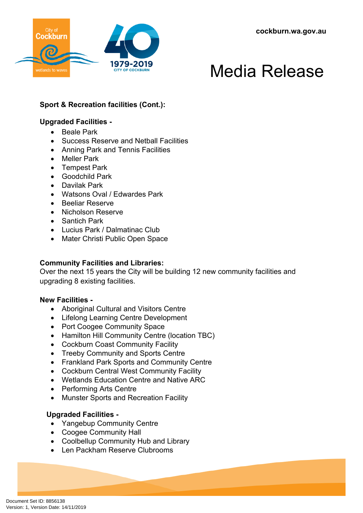

# Media Release

# **Sport & Recreation facilities (Cont.):**

## **Upgraded Facilities -**

- Beale Park
- Success Reserve and Netball Facilities
- Anning Park and Tennis Facilities
- Meller Park
- Tempest Park
- Goodchild Park
- Davilak Park
- Watsons Oval / Edwardes Park
- Beeliar Reserve
- Nicholson Reserve
- Santich Park
- Lucius Park / Dalmatinac Club
- Mater Christi Public Open Space

### **Community Facilities and Libraries:**

Over the next 15 years the City will be building 12 new community facilities and upgrading 8 existing facilities.

### **New Facilities -**

- Aboriginal Cultural and Visitors Centre
- Lifelong Learning Centre Development
- Port Coogee Community Space
- Hamilton Hill Community Centre (location TBC)
- Cockburn Coast Community Facility
- Treeby Community and Sports Centre
- Frankland Park Sports and Community Centre
- Cockburn Central West Community Facility
- Wetlands Education Centre and Native ARC
- Performing Arts Centre
- Munster Sports and Recreation Facility

# **Upgraded Facilities -**

- Yangebup Community Centre
- Coogee Community Hall
- Coolbellup Community Hub and Library
- Len Packham Reserve Clubrooms